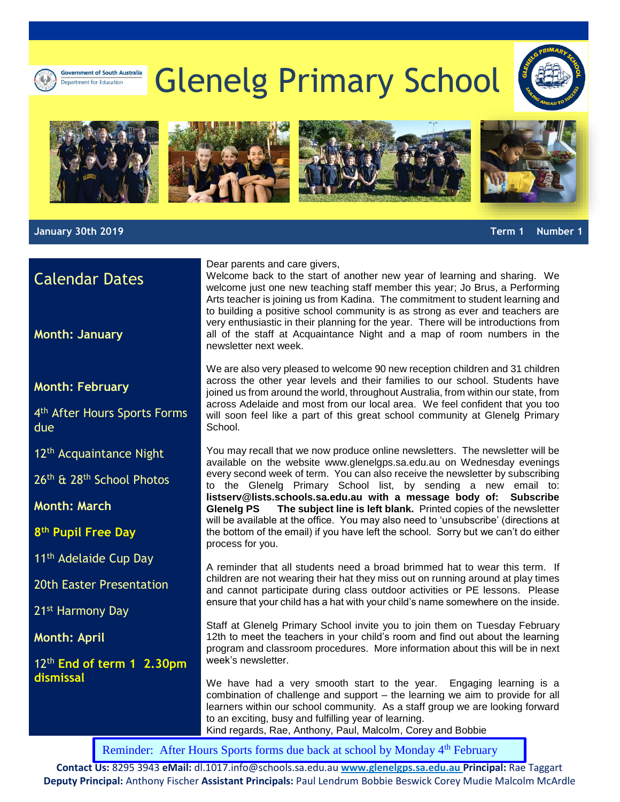# Glenelg Primary School











**January 30th 2019 Term 1 Number 1** 

## Calendar Dates

**Month: January**

#### **Month: February**

4<sup>th</sup> After Hours Sports Forms due

12<sup>th</sup> Acquaintance Night

26th & 28th School Photos

**Month: March**

**8 th Pupil Free Day**

11<sup>th</sup> Adelaide Cup Day

20th Easter Presentation

21st Harmony Day

**Month: April**

12th **End of term 1 2.30pm dismissal**

#### Dear parents and care givers,

Welcome back to the start of another new year of learning and sharing. We welcome just one new teaching staff member this year; Jo Brus, a Performing Arts teacher is joining us from Kadina. The commitment to student learning and to building a positive school community is as strong as ever and teachers are very enthusiastic in their planning for the year. There will be introductions from all of the staff at Acquaintance Night and a map of room numbers in the newsletter next week.

We are also very pleased to welcome 90 new reception children and 31 children across the other year levels and their families to our school. Students have joined us from around the world, throughout Australia, from within our state, from across Adelaide and most from our local area. We feel confident that you too will soon feel like a part of this great school community at Glenelg Primary School.

You may recall that we now produce online newsletters. The newsletter will be available on the website [www.glenelgps.sa.edu.au](http://www.glenelgps.sa.edu.au/) on Wednesday evenings every second week of term. You can also receive the newsletter by subscribing to the Glenelg Primary School list, by sending a new email to: **[listserv@lists.schools.sa.edu.au](mailto:listserv@lists.schools.sa.edu.au) with a message body of: Subscribe Glenelg PS The subject line is left blank.** Printed copies of the newsletter will be available at the office. You may also need to 'unsubscribe' (directions at the bottom of the email) if you have left the school. Sorry but we can't do either process for you.

A reminder that all students need a broad brimmed hat to wear this term. If children are not wearing their hat they miss out on running around at play times and cannot participate during class outdoor activities or PE lessons. Please ensure that your child has a hat with your child's name somewhere on the inside.

Staff at Glenelg Primary School invite you to join them on Tuesday February 12th to meet the teachers in your child's room and find out about the learning program and classroom procedures. More information about this will be in next week's newsletter.

We have had a very smooth start to the year. Engaging learning is a combination of challenge and support – the learning we aim to provide for all learners within our school community. As a staff group we are looking forward to an exciting, busy and fulfilling year of learning. Kind regards, Rae, Anthony, Paul, Malcolm, Corey and Bobbie

Reminder: After [Hours Sports forms due back at](mailto:dl.1017.info@schools.sa.edu.au) school by Monday 4<sup>th</sup> February

**Contact Us:** 8295 3943 **eMail:** dl.1017.info@schools.sa.edu.au **[www.glenelgps.sa.edu.au](http://www.glenelgps.sa.edu.au/) Principal:** Rae Taggart **Deputy Principal:** Anthony Fischer **Assistant Principals:** Paul Lendrum Bobbie Beswick Corey Mudie Malcolm McArdle